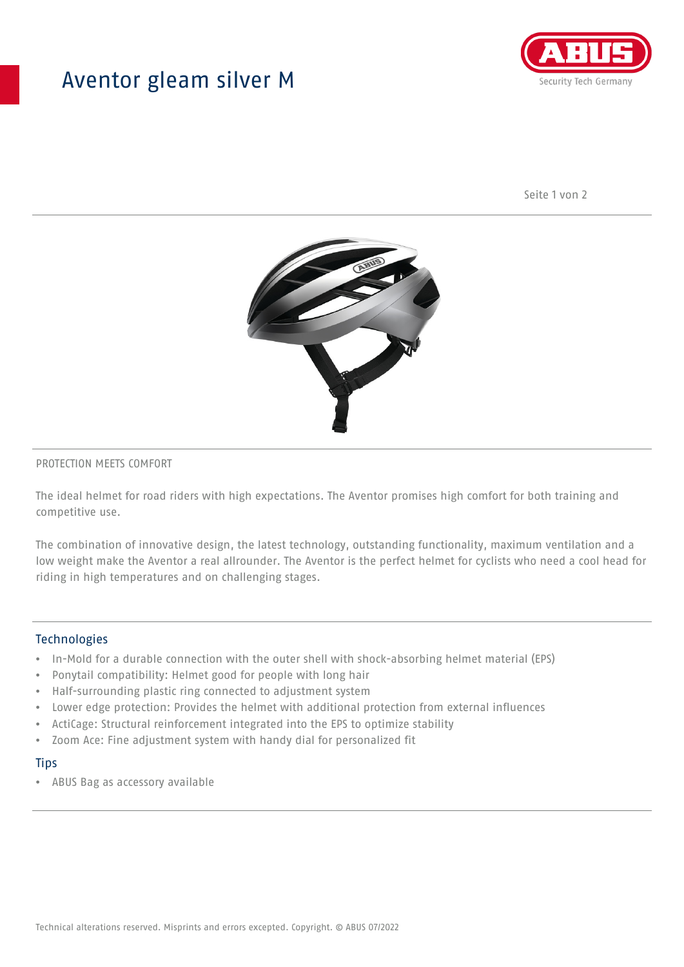## Aventor gleam silver M



Seite 1 von 2



#### PROTECTION MEETS COMFORT

The ideal helmet for road riders with high expectations. The Aventor promises high comfort for both training and competitive use.

The combination of innovative design, the latest technology, outstanding functionality, maximum ventilation and a low weight make the Aventor a real allrounder. The Aventor is the perfect helmet for cyclists who need a cool head for riding in high temperatures and on challenging stages.

#### **Technologies**

- In-Mold for a durable connection with the outer shell with shock-absorbing helmet material (EPS)
- Ponytail compatibility: Helmet good for people with long hair
- Half-surrounding plastic ring connected to adjustment system
- Lower edge protection: Provides the helmet with additional protection from external influences
- ActiCage: Structural reinforcement integrated into the EPS to optimize stability
- Zoom Ace: Fine adjustment system with handy dial for personalized fit

#### **Tips**

• ABUS Bag as accessory available